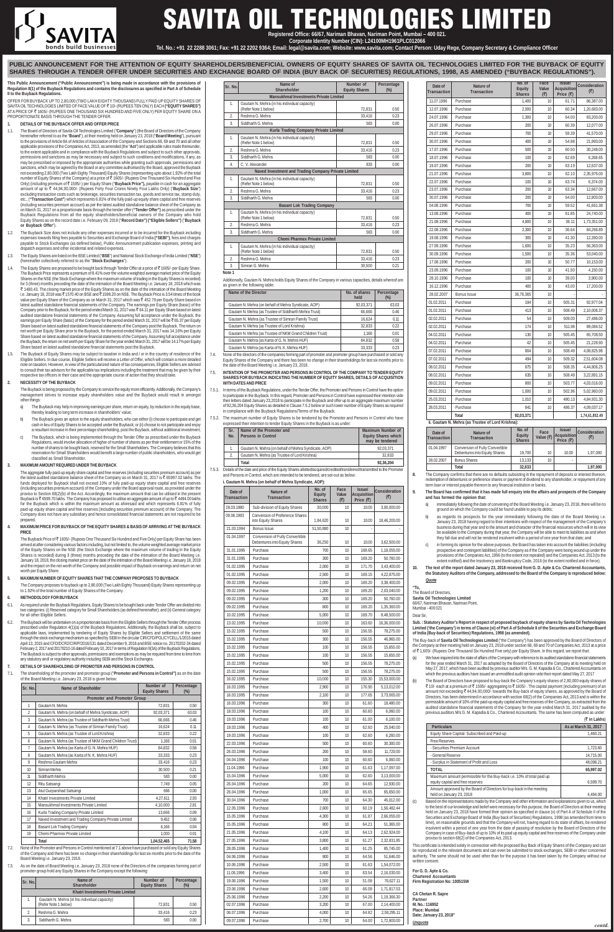#### **This Public Announcement ("Public Announcement") is being made in accordance with the provisions of Regulation 8(1) of the Buyback Regulations and contains the disclosures as specified in Part A of Schedule II to the Buyback Regulations.**

OFFER FOR BUYBACK UP TO 2,80,000 (TWO LAKH EIGHTY THOUSAND) FULLY PAID UP EQUITY SHARES OF SAVITA OIL TECHNOLOGIES LIMITED OF FACE VALUE OF ₹ 10/- (RUPEES TEN ONLY) EACH **("EQUITY SHARES")**<br>AT A PRICE OF ₹ 1605/- (RUPEES ONE THOUSAND SIX HUNDRED AND FIVE ONLY) PER EQUITY SHARE ON A PROPORTIONATE BASIS THROUGH THE TENDER OFFER.

## **1. DETAILS OF THE BUYBACK OFFER AND OFFER PRICE**

- 1.1. The Board of Directors of Savita Oil Technologies Limited ("**Company**") (the Board of Directors of the Company hereinafter referred to as the "**Board**"), at their meeting held on January 23, 2018 ("**Board Meeting**"), pursuant to the provisions of Article 8A of Articles of Association of the Company and Sections 68, 69 and 70 and all other applicable provisions of the Companies Act, 2013, as amended (the "**Act**") and applicable rules made thereunder, to the extent applicable and in compliance with the Buyback Regulations and subject to such other approvals, permissions and sanctions as may be necessary and subject to such conditions and modifications, if any, as may be prescribed or imposed by the appropriate authorities while granting such approvals, permissions and sanctions, which may be agreed by the Board or any committee authorised by the Board, approved the Buyback not exceeding 2,80,000 (Two Lakh Eighty Thousand) Equity Shares (representing upto about 1.92% of the total<br>number of Equity Shares of the Company) at a price of ₹ 1605/- (Rupees One Thousand Six Hundred and Five Only) (including premium of ` 1595/-) per Equity Share ("**Buyback Price"),** payable in cash for an aggregate amount of up to ₹ 44,94,00,000/- (Rupees Forty Four Crores Ninety Four Lakhs Only) ("Buyback Size") excluding transaction costs such as brokerage, securities transaction tax, goods and service tax, stamp duty, etc., (**"Transaction Cost"**) which represents 6.81% of the fully paid-up equity share capital and free reserves (including securities premium account) as per the latest audited standalone balance sheet of the Company as on March 31, 2017 on a proportionate basis through the tender offer (**"Tender Offer")** as prescribed under the Buyback Regulations from all the equity shareholders/beneficial owners of the Company who hold Equity Shares as on the record date i.e. February 09, 2018 ("**Record Date") ("Eligible Sellers")** ("**Buyback or Buyback Offer**").
- 1.2. The Buyback Size does not include any other expenses incurred or to be incurred for the Buyback including expenses towards filing fees payable to Securities and Exchange Board of India **("SEBI")**, fees and charges payable to Stock Exchanges (as defined below), Public Announcement publication expenses, printing and dispatch expenses and other incidental and related expenses.
- 1.3. The Equity Shares are listed on the BSE Limited ("**BSE**") and National Stock Exchange of India Limited ("**NSE**") (hereinafter collectively referred to as the "**Stock Exchanges**").
- 1.4. The Equity Shares are proposed to be bought back through Tender Offer at a price of ₹1605/- per Equity Share. The Buyback Price represents a premium of 8.41% over the volume weighted average market price of the Equity Shares on the NSE (the Stock Exchange where the maximum volume of trading in the Equity Shares is recorded) for 3 (three) months preceding the date of the intimation of the Board Meeting i.e. January 18, 2018 which was ₹ 1480.43. The closing market price of the Equity Shares as on the date of the intimation of the Board Meeting<br>i.e. January 18, 2018 was ₹ 1570.40 on BSE and ₹ 1598.20 on NSE. The Buyback Price is 3.54 times of the book value per Equity Share of the Company as on March 31, 2017 which was ₹ 452.79 per Equity Share based on latest audited standalone financial statements of the Company. The earnings per Equity Share (basic) of the<br>Company prior to the Buyback, for the period ended March 31, 2017 was₹64.11 per Equity Share based on latest<br>audi earnings per Equity Share (basic) of the Company for the period ended March 31, 2017 will be₹65.37 per Equity<br>Share based on latest audited standalone financial statements of the Company post the Buyback. The return on net worth per Equity Share prior to the Buyback, for the period ended March 31, 2017 was 14.16% per Equity Share based on latest audited standalone financial statements of the Company. Assuming full acceptance under the Buyback, the return on net worth per Equity Share for the year ended March 31, 2017 will be 14.17% per Equity Ire based on latest audited standalone financial statements post the Buyback.
- 1.5. The Buyback of Equity Shares may be subject to taxation in India and / or in the country of residence of the<br>Eligible Sellers. In due course, Eligible Sellers will receive a Letter of Offer, which will contain a more note on taxation. However, in view of the particularized nature of tax consequences, Eligible Sellers are advised to consult their tax advisors for the applicable tax implications including the treatment that may be given by their respective tax officers in their case and the appropriate course of action that they should take.

The Company proposes to buyback up to 2,80,000 (Two Lakh Eighty Thousand) Equity Shares representing up to 1.92% of the total number of Fqui

#### **2. NECESSITY OF THE BUYBACK**

The Buyback is being proposed by the Company to service the equity more efficiently. Additionally, the Company's management strives to increase equity shareholders value and the Buyback would result in amongst other things:

- a) The Buyback may help in improving earnings per share, return on equity, by reduction in the equity base, thereby leading to long term increase in shareholders' value;
- b) The Buyback gives an option to the equity shareholders, who can either (i) choose to participate and get cash in lieu of Equity Shares to be accepted under the Buyback; or (ii) choose to not participate and enjoy a resultant increase in their percentage shareholding, post the Buyback, without additional investment;
- c) The Buyback, which is being implemented through the Tender Offer as prescribed under the Buyback Regulations, would involve allocation of higher of number of shares as per their entitlement or 15% of the number of shares to be bought back, reserved for the Small Shareholders. The Company believes that this reservation for Small Shareholders would benefit a large number of public shareholders, who would get classified as Small Shareholder.

#### **3. MAXIMUM AMOUNT REQUIRED UNDER THE BUYBACK**

The aggregate fully paid-up equity share capital and free reserves (including securities premium account) as per<br>the latest audited standalone balance sheet of the Company as on March 31, 2017 is ₹ 65997.02 lakhs. The funds deployed for Buyback shall not exceed 10% of fully paid-up equity share capital and free reserves (including securities premium account) of the Company under the Board approval route, as provided under the proviso to Section 68(2)(b) of the Act. Accordingly, the maximum amount that can be utilised in the present Buyback is  $\bar{\tau}$  6599.70 lakhs. The Company has proposed to utilise an aggregate amount of up to  $\bar{\tau}$  4494.00 lakhs for the Buyback which is within the maximum amount as aforesaid and which represents 6.81% of fully paid-up equity share capital and free reserves (including securities premium account) of the Company. The Company does not have any subsidiary and hence consolidated financial statements are not required to be prepared

#### **4. MAXIMUM PRICE FOR BUYBACK OF THE EQUITY SHARES & BASIS OF ARRIVING AT THE BUYBACK PRICE**

The Buyback Price of ₹1605/- (Rupees One Thousand Six Hundred and Five Only) per Equity Share has been arrived at after considering various factors including, but not limited to, the volume weighted average market price of the Equity Shares on the NSE (the Stock Exchange where the maximum volume of trading in the Equity Shares is recorded) during 3 (three) months preceding the date of the intimation of the Board Meeting i.e. January 18, 2018, the closing market price on the date of the intimation of the Board Meeting i.e. January 18, 2018 and the impact on the net worth of the Company and possible impact of Buyback on earnings and return on ne worth per Fquity Share.

- a) immediately following the date of convening of the Board Meeting i.e. January 23, 2018, there will be no ground on which the Company could be found unable to pay its debts;
- as regards its prospects for the year immediately following the date of the Board Meeting i.e. January 23, 2018 having regard to their intentions with respect of the management of the Company's business during that year and to the amount and character of the financial resources which will in its view be available to the Company during that year, the Company will be able to meet its liabilities as and when<br>be available to the Company during that year, the Company will be able to meet its liabilities as and when they fall due and will not be rendered insolvent within a period of one year from that date; and
- c) in forming its opinion for the above purposes, the Board has taken into account the liabilities (including prospective and contingent liabilities) of the Company as if the Company were being wound up under the provisions of the Companies Act, 1956 (to the extent not repealed) and the Companies Act, 2013 (to the extent notified) and the Insolvency and Bankruptcy Code, 2016 (to the extent notified and in force).
- **10. The text of the report dated January 23, 2018 received from G. D. Apte & Co. Chartered Accountants, the Statutory Auditors of the Company, addressed to the Board of the Company is reproduced below:** *Quote*

The Buy-back of **Savita Oil Technologies Limited** ("the Company") has been approved by the Board of Directors of the Company at their meeting held on January 23, 2018 under section 68, 69 and 70 of Companies Act, 2013 at a price of ₹1,605/- (Rupees One Thousand Six Hundred Five only) per Equity Share. In this regard, we report that

# **5. MAXIMUM NUMBER OF EQUITY SHARES THAT THE COMPANY PROPOSES TO BUYBACK**

#### **6. METHODOLOGY FOR BUYBACK**

- 6.1. As required under the Buyback Regulations, Equity Shares to be bought back under Tender Offer are divided into two categories: (i) Reserved category for Small Shareholders (as defined hereinafter); and (ii) General category for all other Eligible Sellers.
- 6.2. The Buyback will be undertaken on a proportionate basis from the Eligible Sellers through the Tender Offer process<br>prescribed under Regulation 4(1)(a) of the Buyback Regulations. Additionally, the Buyback shall be, su applicable laws, implemented by tendering of Equity Shares by Eligible Sellers and settlement of the same through the stock exchange mechanism as specified by SEBI in the circular CIR/CFD/POLICYCELL/1/2015 dated April 13, 2015 and CFD/DCR2/CIR/P/2016/131 dated December 9, 2016 and BSE notice no. 20170202-34 dated February 2, 2017 and 20170210-16 dated February 10, 2017 in terms of Regulation 9(3A) of the Buyback Regulations. The Buyback is subject to other approvals, permissions and exemptions as may be required from time to time from any statutory and/ or regulatory authority including SEBI and the Stock Exchanges.
- **7. DETAILS OF SHAREHOLDING OF PROMOTER AND PERSONS IN CONTROL**
- 7.1. The shareholding of the promoter and promoter group ("**Promoter and Persons in Control")** as on the date of the Board Meeting i.e. January 23, 2018 is given below:



# **ITA OIL TECHNOLOGIES L Registered Office: 66/67, Nariman Bhavan, Nariman Point, Mumbai – 400 021.**

| Sr. No.        | Name of Shareholder                                      | Number of<br><b>Equity Shares</b> | Percentage<br>$(\%)$ |
|----------------|----------------------------------------------------------|-----------------------------------|----------------------|
|                | Promoter and Promoter Group                              |                                   |                      |
| $\mathbf{1}$   | Gautam N. Mehra                                          | 72,831                            | 0.50                 |
| $\overline{2}$ | Gautam N. Mehra (on behalf of Mehra Syndicate, AOP)      | 92.03.371                         | 63.03                |
| 3              | Gautam N. Mehra (as Trustee of Siddharth Mehra Trust)    | 66,666                            | 0.46                 |
| 4              | Gautam N. Mehra (as Trustee of Simran Family Trust)      | 16,624                            | 0.11                 |
| 5              | Gautam N. Mehra (as Trustee of Lord Krishna)             | 32.833                            | 0.22                 |
| 6              | Gautam N. Mehra (as Trustee of NKM Grand Children Trust) | 1,166                             | 0.01                 |
| 7              | Gautam N. Mehra (as Karta of G. N. Mehra HUF)            | 84,832                            | 0.58                 |
| 8              | Gautam N. Mehra (as Karta of N. K. Mehra HUF)            | 33.333                            | 0.23                 |
| 9              | Reshma Gautam Mehra                                      | 33,416                            | 0.23                 |
| 10             | Simran Mehra                                             | 30.500                            | 0.21                 |
| 11             | Siddharth Mehra                                          | 583                               | 0.00                 |
| 12             | Ritu Satsangi                                            | 7.749                             | 0.05                 |
| 13             | Atul Gurparshad Satsangi                                 | 666                               | 0.00                 |
| 14             | Khatri Investments Private Limited                       | 4,27,611                          | 2.93                 |
| 15             | Mansukhmal Investments Private Limited                   | 4,10,000                          | 2.81                 |
| 16             | Kurla Trading Company Private Limited                    | 13,666                            | 0.09                 |
| 17             | Naved Investment and Trading Company Private Limited     | 9,452                             | 0.06                 |
| 18             | <b>Basant Lok Trading Company</b>                        | 6,166                             | 0.04                 |
| 19             | Chemi Pharmex Private Limited                            | 1.000                             | 0.01                 |
|                | <b>Total</b>                                             | 1,04,52,465                       | 71.58                |

Additionally, Gautam N. Mehra holds Equity Shares of the Company in various capacities, details whereof are as given in the following table

7.2. None of the Promoter and Persons in Control mentioned at 7.1 above have purchased or sold any Equity Shares of the Company and there has been no change in their shareholdings for last six months prior to the date of the Board Meeting i.e. January 23, 2018.

7.3. As on the date of Board Meeting i.e. January 23, 2018 none of the Directors of the companies forming part of promoter group hold any Equity Shares in the Company except the following:

# 7.5.3. Details of the date and price of the Equity Shares allotted/acquired/credited/transferred/transmitted to the Promoter **i. Gautam N. Mehra (on behalf of Mehra Syndicate, AOP): Date of Nature of No. of Face Issue/ Consideration Equity Value Acquisition Transaction Equity Value Acquisition () () Price** (**<b>**) **Price** (**<b>**) **Price** () 28.03.1980 Sub-division of Equity Shares 30,000 10 10 10.00 3,00,000.00 09.06.1993 Conversion of Preference Share into Equity Shares  $\begin{array}{|c|c|c|c|c|}\n\hline\n1,84,620 & 10 & 10.00 & 18,46,200.00\n\end{array}$ 21.03.1994 | Bonus Issue | 51,50,880 | 10 01.04.1997 Conversion of Fully Convertible Debentures into Equity Shares | 36,250 | 10 | 10.00 | 3,62,500.00 31.01.1995 Purchase 10 10 168.65 1,18,055.00 31.01.1995 Purchase 2010 10 300 10 169.20 50,760.00 01.02.1995 Purchase 2,000 10 171.70 3,43,400.00 01.02.1995 Purchase 2,500 10 169.15 4,22,875.00 09.02.1995 Purchase 2,000 10 169.20 3,38,400.00 09.02.1995 Purchase 1,200 10 169.20 2,03,040.00

| Sr. No. | Name of<br>Shareholder                                               | Number of<br><b>Equity Shares</b> | Percentage<br>$(\%)$ |
|---------|----------------------------------------------------------------------|-----------------------------------|----------------------|
|         | <b>Khatri Investments Private Limited</b>                            |                                   |                      |
|         | Gautam N. Mehra (in his individual capacity)<br>(Refer Note 1 below) | 72,831                            | 0.50                 |
| 2.      | Reshma G. Mehra                                                      | 33.416                            | 0.23                 |
| 3.      | Siddharth G. Mehra                                                   | 583                               | 0.00                 |

#### **ii. Gautam N. Mehra (as Trustee of Lord Krishna):**

| Date of<br><b>Transaction</b> | Nature of<br><b>Transaction</b>                                  | No. of<br><b>Equity</b><br><b>Shares</b> | Face<br>Value (₹) | <b>Issuel</b><br>Acquisition<br>Price $(\overline{\tau})$ | <b>Consideration</b> |
|-------------------------------|------------------------------------------------------------------|------------------------------------------|-------------------|-----------------------------------------------------------|----------------------|
| 01.04.1997                    | Conversion of Fully Convertible<br>Debentures into Equity Shares | 19.700                                   | 10 <sup>°</sup>   | 10.00                                                     | 1.97.000             |
| 28.02.2007                    | <b>Bonus Shares</b>                                              | 13.133                                   | 10                |                                                           |                      |
|                               | Total                                                            | 32,833                                   |                   |                                                           | 1,97,000             |

**8.** The Company confirms that there are no defaults subsisting in the repayment of deposits or interest thereon, redemption of debentures or preference shares or payment of dividend to any shareholder, or repayment of any term loan or interest payable thereon to any financial institution or banks.

#### **9. The Board has confirmed that it has made full enquiry into the affairs and prospects of the Company and has formed the opinion that:**

The Board of Directors, **Savita Oil Technologies Limited** 66/67, Nariman Bhavan, Nariman Point, Mumbai - 400 021

Dear Sir,

**Sub. : Statutory Auditor's Report in respect of proposed buyback of equity shares by Savita Oil Technologies Limited ('the Company') in terms of Clause (xi) of Part A of Schedule II of the Securities and Exchange Board of India (Buy-back of Securities) Regulations, 1998 (as amended).**

- (a) We have inquired into the state of affairs of the Company with reference to its audited standalone financial statements for the year ended March 31, 2017 as adopted by the Board of Directors of the Company at its meeting held on May 27, 2017, which have been audited by previous auditor M/s. G. M. Kapadia & Co., Chartered Accountants on which the previous auditors have issued an unmodified audit opinion vide their report dated May 27, 2017
- (b) The Board of Directors have proposed to buy-back the Company's equity shares of 2,80,000 equity shares of The Deach at a premium of ₹ 1595/- aggregating to ₹ 1605/-. The capital payment (including premium) of an amount not exceeding ₹ 44,94,00,000/- towards the Buy-back of equity shares, as approved by the Board of<br>Directors, has been determined in accordance with section 68(2) of the Companies Act, 2013 and is within the permissible amount of 10% of the paid-up equity capital and free reserves of the Company, as extracted from the audited standalone financial statements of the Company for the year ended March 31, 2017 audited by the previous auditors M/s G. M. Kapadia & Co., Chartered Accountants. The same has been computed as under:

|                                                                                                           | (₹ in Lakhs)         |
|-----------------------------------------------------------------------------------------------------------|----------------------|
| <b>Particulars</b>                                                                                        | As at March 31, 2017 |
| Equity Share Capital-Subscribed and Paid-up                                                               | 1.460.21             |
| <b>Free Reserves</b>                                                                                      |                      |
| - Securities Premium Account                                                                              | 1.723.60             |
| - General Reserve                                                                                         | 14.715.00            |
| - Surplus in Statement of Profit and Loss                                                                 | 48.098.21            |
| <b>TOTAL</b>                                                                                              | 65.997.02            |
| Maximum amount permissible for the Buy-back i.e. 10% of total paid up<br>equity capital and free reserves | 6.599.70             |
| Amount approved by the Board of Directors for buy-back in the meeting<br>held on January 23, 2018         | 4.494.00             |

(c) Based on the representations made by the Company and other information and explanations given to us, which to the best of our knowledge and belief were necessary for this purpose, the Board of Directors at their meeting held on January 23, 2018 have formed their opinion as specified in clause (x) of Part A of Schedule II of the Securities and Exchange Board of India (Buy back of Securities) Regulations, 1998 (as amended from time to time), on reasonable grounds and that the Company will not, having regard to its state of affairs, be rendered insolvent within a period of one year from the date of passing of resolution by the Board of Directors of the Company in case of Buy–back of up to 10% of its paid up equity capital and free reserves of the Company under proviso to section 68(2) of the Companies Act, 2013.

|                               |                                                   | No. of                         | Face         |                                           |                      |
|-------------------------------|---------------------------------------------------|--------------------------------|--------------|-------------------------------------------|----------------------|
| Date of<br><b>Transaction</b> | Nature of<br><b>Transaction</b>                   | <b>Equity</b><br><b>Shares</b> | Value<br>(₹) | <b>Issuel</b><br>Acquisition<br>Price (₹) | Consideration<br>(₹) |
| 11.07.1996                    | Purchase                                          | 1,400                          | 10           | 61.71                                     | 86,387.00            |
| 12.07.1996                    | Purchase                                          | 2,000                          | 10           | 60.34                                     | 1,20,683.00          |
| 24.07.1996                    | Purchase                                          | 1,300                          | 10           | 64.00                                     | 83,200.00            |
| 26.07.1996                    | Purchase                                          | 200                            | 10           | 60.39                                     | 12,077.00            |
| 29.07.1996                    | Purchase                                          | 700                            | 10           | 59.39                                     | 41,570.00            |
| 30.07.1996                    | Purchase                                          | 400                            | 10           | 54.98                                     | 21,993.00            |
| 17.07.1996                    | Purchase                                          | 500                            | 10           | 60.50                                     | 30,248.00            |
| 18.07.1996                    | Purchase                                          | 100                            | 10           | 62.69                                     | 6,268.65             |
| 19.07.1996                    | Purchase                                          | 200                            | 10           | 63.19                                     | 12,637.00            |
| 21.07.1996                    | Purchase                                          | 3,800                          | 10           | 62.10                                     | 2,35,976.00          |
| 22.07.1996                    | Purchase                                          | 100                            | 10           | 63.74                                     | 6,374.00             |
| 23.07.1996                    | Purchase                                          | 200                            | 10           | 63.34                                     | 12,667.00            |
| 30.07.1996                    | Purchase                                          | 200                            | 10           | 64.00                                     | 12,800.00            |
| 04.08.1996                    | Purchase                                          | 700                            | 10           | 59.52                                     | 41,661.38            |
| 13.08.1996                    | Purchase                                          | 400                            | 10           | 61.85                                     | 24,740.00            |
| 21.08.1996                    | Purchase                                          | 4,800                          | 10           | 36.11                                     | 1,73,351.00          |
| 22.08.1996                    | Purchase                                          | 2,300                          | 10           | 36.64                                     | 84,266.89            |
| 19.08.1996                    | Purchase                                          | 300                            | 10           | 41.30                                     | 12,390.00            |
| 27.09.1996                    | Purchase                                          | 1.600                          | 10           | 35.23                                     | 56,363.00            |
| 30.09.1996                    | Purchase                                          | 1,500                          | 10           | 35.36                                     | 53,040.00            |
| 17.08.1996                    | Purchase                                          | 200                            | 10           | 50.77                                     | 10,153.00            |
| 23.09.1996                    | Purchase                                          | 100                            | 10           | 41.50                                     | 4,150.00             |
| 28.10.1996                    | Purchase                                          | 100                            | 10           | 39.00                                     | 3,900.00             |
| 16.12.1996                    | Purchase                                          | 400                            | 10           | 43.00                                     | 17,200.00            |
| 28.02.2007                    | Bonus Issue                                       | 36,78,365                      | 10           |                                           |                      |
| 01.02.2011                    | Purchase                                          | 184                            | 10           | 505.31                                    | 92,977.04            |
| 01.02.2011                    | Purchase                                          | 413                            | 10           | 508.49                                    | 2,10,006.37          |
| 02.02.2011                    | Purchase                                          | 54                             | 10           | 509.00                                    | 27,486.00            |
| 02.02.2011                    | Purchase                                          | 174                            | 10           | 511.98                                    | 89,084.52            |
| 04.02.2011                    | Purchase                                          | 130                            | 10           | 505.45                                    | 65,708.50            |
| 04.02.2011                    | Purchase                                          | 42                             | 10           | 505.45                                    | 21,228.90            |
| 07.02.2011                    | Purchase                                          | 804                            | 10           | 508.49                                    | 4,08,825.96          |
| 07.02.2011                    | Purchase                                          | 494                            | 10           | 509.32                                    | 2,51,604.08          |
| 08.02.2011                    | Purchase                                          | 875                            | 10           | 508.35                                    | 4,44,806.25          |
| 08.02.2011                    | Purchase                                          | 635                            | 10           | 508.49                                    | 3,22,891.15          |
| 09.02.2011                    | Purchase                                          | 800                            | 10           | 503.77                                    | 4,03,016.00          |
| 09.02.2011                    | Purchase                                          | 1,000                          | 10           | 502.96                                    | 5,02,960.00          |
| 25.03.2011                    | Purchase                                          | 1,010                          | 10           | 480.13                                    | 4,84,931.30          |
| 28.03.2011                    | Purchase                                          | 841                            | 10           | 486.37                                    | 4,09,037.17          |
|                               | Total                                             | 92,03,371                      |              |                                           | 1,74,61,852.49       |
|                               | ii. Gautam N. Mehra (as Trustee of Lord Krishna): |                                |              |                                           |                      |

This certificate is intended solely in connection with the proposed Buy Back of Equity Shares of the Company and can be reproduced in the relevant documents and can even be submitted to stock exchanges, SEBI or other concerned authority. The same should not be used other than for the purpose it has been taken by the Company without our written consent.

**For G. D. Apte & Co. Chartered Accountants Firm Registration No: 100515W**

**CA Chetan R. Sapre Partner M. No.: 116952 Place: Mumbai Date: January 23, 2018"** *Unquote*

**Corporate Identity Number (CIN): L24100MH1961PLC012066**

**Tel. No.: +91 22 2288 3061; Fax: +91 22 2202 9364; Email: legal@savita.com; Website: www.savita.com; Contact Person: Uday Rege, Company Secretary & Compliance Officer**

**PUBLIC ANNOUNCEMENT FOR THE ATTENTION OF EQUITY SHAREHOLDERS/BENEFICIAL OWNERS OF EQUITY SHARES OF SAVITA OIL TECHNOLOGIES LIMITED FOR THE BUYBACK OF EQUITY SHARES THROUGH A TENDER OFFER UNDER SECURITIES AND EXCHANGE BOARD OF INDIA (BUY BACK OF SECURITIES) REGULATIONS, 1998, AS AMENDED ("BUYBACK REGULATIONS").**

| Sr. No.                                              | Name of<br>Shareholder                                               | Number of<br><b>Equity Shares</b> | Percentage<br>$(\%)$ |  |  |
|------------------------------------------------------|----------------------------------------------------------------------|-----------------------------------|----------------------|--|--|
|                                                      | <b>Mansukhmal Investments Private Limited</b>                        |                                   |                      |  |  |
| 1.                                                   | Gautam N. Mehra (in his individual capacity)<br>(Refer Note 1 below) | 72,831                            | 0.50                 |  |  |
| $\overline{2}$                                       | Reshma G. Mehra                                                      | 33,416                            | 0.23                 |  |  |
| 3.                                                   | Siddharth G. Mehra                                                   | 583                               | 0.00                 |  |  |
|                                                      | Kurla Trading Company Private Limited                                |                                   |                      |  |  |
| $\mathbf{1}$ .                                       | Gautam N. Mehra (in his individual capacity)<br>(Refer Note 1 below) | 72,831                            | 0.50                 |  |  |
| $\overline{2}$ .                                     | Reshma G. Mehra                                                      | 33,416                            | 0.23                 |  |  |
| 3.                                                   | Siddharth G. Mehra                                                   | 583                               | 0.00                 |  |  |
| 4.                                                   | C. V. Alexander                                                      | 833                               | 0.00                 |  |  |
| Naved Investment and Trading Company Private Limited |                                                                      |                                   |                      |  |  |
| 1.                                                   | Gautam N. Mehra (in his individual capacity)<br>(Refer Note 1 below) | 72,831                            | 0.50                 |  |  |
| $\overline{2}$                                       | Reshma G. Mehra                                                      | 33.416                            | 0.23                 |  |  |
| 3.                                                   | Siddharth G. Mehra                                                   | 583                               | 0.00                 |  |  |
|                                                      | <b>Basant Lok Trading Company</b>                                    |                                   |                      |  |  |
| $\mathbf{1}$ .                                       | Gautam N. Mehra (in his individual capacity)<br>(Refer Note 1 below) | 72,831                            | 0.50                 |  |  |
| $\overline{2}$                                       | Reshma G. Mehra                                                      | 33,416                            | 0.23                 |  |  |
| 3.                                                   | Siddharth G. Mehra                                                   | 583                               | 0.00                 |  |  |
| <b>Chemi Pharmex Private Limited</b>                 |                                                                      |                                   |                      |  |  |
| $\mathbf{1}$ .                                       | Gautam N. Mehra (in his individual capacity)<br>(Refer Note 1 below) | 72.831                            | 0.50                 |  |  |
| $\overline{2}$ .                                     | Reshma G. Mehra                                                      | 33,416                            | 0.23                 |  |  |
| 3.                                                   | Simran G. Mehra                                                      | 30,500                            | 0.21                 |  |  |
| Note 1                                               |                                                                      |                                   |                      |  |  |

| Name of the Director                                     | No. of shares<br>held | Percentage<br>(%) |
|----------------------------------------------------------|-----------------------|-------------------|
| Gautam N. Mehra (on behalf of Mehra Syndicate, AOP)      | 92,03,371             | 63.03             |
| Gautam N. Mehra (as Trustee of Siddharth Mehra Trust)    | 66,666                | 0.46              |
| Gautam N. Mehra (as Trustee of Simran Family Trust)      | 16,624                | 0.11              |
| Gautam N. Mehra (as Trustee of Lord Krishna)             | 32,833                | 0.22              |
| Gautam N. Mehra (as Trustee of NKM Grand Children Trust) | 1.166                 | 0.01              |
| Gautam N. Mehra (as Karta of G. N. Mehra HUF)            | 84,832                | 0.58              |
| Gautam N. Mehra (as Karta of N. K. Mehra HUF)            | 33.333                | 0.23              |

7.4. None of the directors of the companies forming part of promoter and promoter group have purchased or sold any Equity Shares of the Company and there has been no change in their shareholdings for last six months prior to the date of the Board Meeting i.e. January 23, 2018 .

7.5. **INTENTION OF THE PROMOTER AND PERSONS IN CONTROL OF THE COMPANY TO TENDER EQUITY SHARES FOR BUYBACK INDICATING THE NUMBER OF EQUITY SHARES, DETAILS OF ACQUISITION WITH DATES AND PRICE**

- 7.5.1. In terms of the Buyback Regulations, under the Tender Offer, the Promoter and Persons in Control have the option to participate in the Buyback. In this regard, Promoter and Persons in Control have expressed their intention vide their letters dated January 23,2018 to participate in the Buyback and offer up to an aggregate maximum number of 92,36,204 Equity Shares as detailed in Clause 7.5.2 below or such lower number of Equity Shares as required in compliance with the Buyback Regulations/Terms of the Buyback.
- 7.5.2. The maximum number of Equity Shares to be tendered by the Promoter and Persons in Control who have expressed their intention to tender Equity Shares in the Buyback is as under:

| Sr.<br>No.     | Name of the Promoter and<br><b>Persons in Control</b> | <b>Maximum Number of</b><br><b>Equity Shares which</b><br>may be tendered |
|----------------|-------------------------------------------------------|---------------------------------------------------------------------------|
|                | Gautam N. Mehra (on behalf of Mehra Syndicate, AOP)   | 92,03,371                                                                 |
| $\overline{2}$ | Gautam N. Mehra (as Trustee of Lord Krishna)          | 32.833                                                                    |
|                | Total                                                 | 92.36.204                                                                 |

and Persons in Control, which are intended to be tendered, are set-out as below:

| 09.02.1995 | Purchase | 300    | 10 | 169.20 | 50,760.00    |
|------------|----------|--------|----|--------|--------------|
| 09.02.1995 | Purchase | 800    | 10 | 169.20 | 1,35,360.00  |
| 10.02.1995 | Purchase | 5,000  | 10 | 169.70 | 8,48,500.00  |
| 13.02.1995 | Purchase | 10,000 | 10 | 163.60 | 16,36,000.00 |
| 15.02.1995 | Purchase | 500    | 10 | 156.55 | 78,275.00    |
| 15.02.1995 | Purchase | 300    | 10 | 156.55 | 46,965.00    |
| 15.02.1995 | Purchase | 100    | 10 | 156.55 | 15,655.00    |
| 15.02.1995 | Purchase | 100    | 10 | 156.55 | 15,655.00    |
| 15.02.1995 | Purchase | 500    | 10 | 156.55 | 78,275.00    |
| 15.02.1995 | Purchase | 500    | 10 | 156.55 | 78,275.00    |
| 16.02.1995 | Purchase | 10,000 | 10 | 155.30 | 15,53,000.00 |
| 16.03.1995 | Purchase | 2,900  | 10 | 176.90 | 5,13,012.00  |
| 16.03.1995 | Purchase | 2,100  | 10 | 177.65 | 3,73,065.00  |
| 16.03.1996 | Purchase | 300    | 10 | 61.60  | 18,480.00    |
| 18.03.1996 | Purchase | 100    | 10 | 60.60  | 6,060.00     |
| 19.03.1996 | Purchase | 100    | 10 | 61.00  | 6,100.00     |
| 19.03.1996 | Purchase | 400    | 10 | 62.60  | 25,040.00    |
| 19.03.1996 | Purchase | 100    | 10 | 62.60  | 6,260.00     |
| 22.03.1996 | Purchase | 500    | 10 | 60.60  | 30,300.00    |
| 26.03.1996 | Purchase | 200    | 10 | 58.60  | 11,720.00    |
| 04.04.1996 | Purchase | 100    | 10 | 60.60  | 6,060.00     |
| 11.04.1996 | Purchase | 1,900  | 10 | 61.63  | 1,17,097.00  |
| 15.04.1996 | Purchase | 5,000  | 10 | 62.60  | 3,13,000.00  |
| 26.04.1996 | Purchase | 200    | 10 | 64.65  | 12,930.00    |
| 26.04.1996 | Purchase | 1,000  | 10 | 65.65  | 65,650.00    |
| 30.04.1996 | Purchase | 700    | 10 | 64.30  | 45,012.00    |
| 12.05.1996 | Purchase | 2,600  | 10 | 60.19  | 1,56,482.44  |
| 15.05.1996 | Purchase | 4,300  | 10 | 61.87  | 2,66,055.00  |
| 15.05.1996 | Purchase | 800    | 10 | 64.21  | 51,365.00    |
| 21.05.1996 | Purchase | 4,100  | 10 | 64.13  | 2,62,924.00  |
| 27.05.1996 | Purchase | 3,800  | 10 | 61.27  | 2,32,831.85  |
| 28.05.1996 | Purchase | 1,400  | 10 | 61.25  | 85,745.00    |
| 04.06.1996 | Purchase | 800    | 10 | 64.56  | 51,646.00    |
| 10.06.1996 | Purchase | 2,500  | 10 | 61.63  | 1,54,072.00  |
| 11.06.1996 | Purchase | 3,400  | 10 | 63.54  | 2,16,030.00  |
| 19.06.1996 | Purchase | 1,500  | 10 | 51.08  | 76,627.11    |
| 23.06.1996 | Purchase | 2,600  | 10 | 66.08  | 1,71,817.53  |
| 25.06.1996 | Purchase | 2,200  | 10 | 54.26  | 1,19,366.30  |
| 02.07.1996 | Purchase | 3,200  | 10 | 67.00  | 2,14,400.00  |
| 06.07.1996 | Purchase | 4,000  | 10 | 64.82  | 2,59,295.11  |
| 09.07.1996 | Purchase | 2,700  | 10 | 64.00  | 1,72,800.00  |